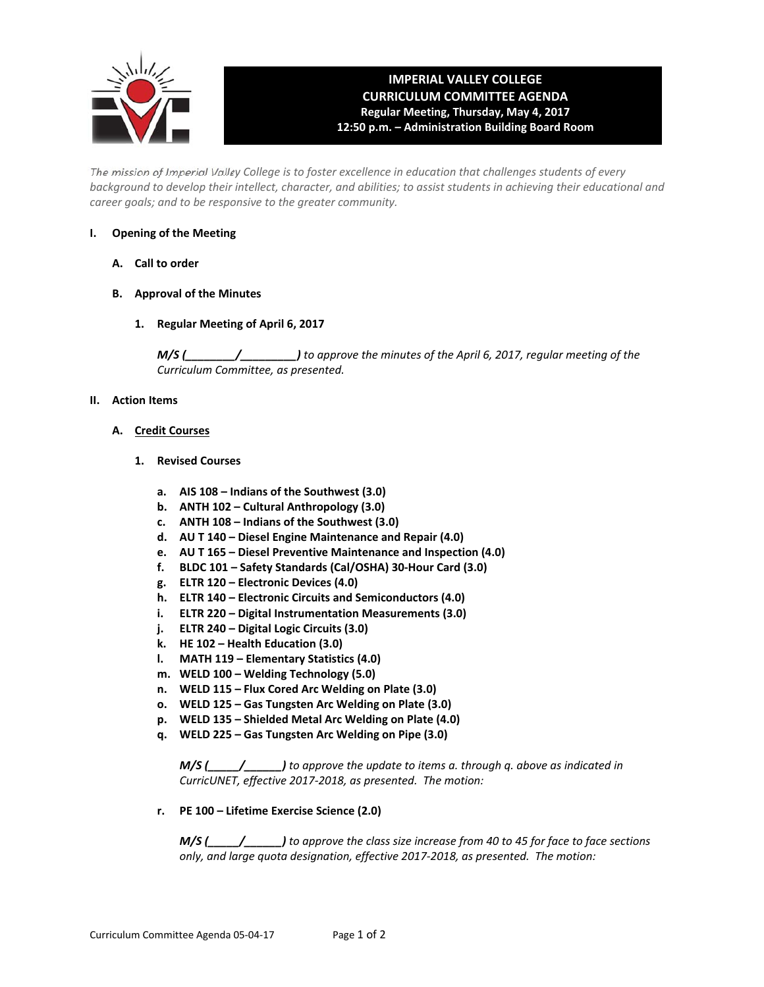

## **IMPERIAL VALLEY COLLEGE CURRICULUM COMMITTEE AGENDA Regular Meeting, Thursday, May 4, 2017 12:50 p.m. – Administration Building Board Room**

The mission of Imperial Valley College is to foster excellence in education that challenges students of every background to develop their intellect, character, and abilities; to assist students in achieving their educational and *career goals; and to be responsive to the greater community.*

## **I. Opening of the Meeting**

- **A. Call to order**
- **B. Approval of the Minutes**
	- **1. Regular Meeting of April 6, 2017**

*M/S (\_\_\_\_\_\_\_\_/\_\_\_\_\_\_\_\_\_) to approve the minutes of the April 6, 2017, regular meeting of the Curriculum Committee, as presented.* 

#### **II. Action Items**

#### **A. Credit Courses**

- **1. Revised Courses**
	- **a. AIS 108 – Indians of the Southwest (3.0)**
	- **b. ANTH 102 – Cultural Anthropology (3.0)**
	- **c. ANTH 108 – Indians of the Southwest (3.0)**
	- **d. AU T 140 – Diesel Engine Maintenance and Repair (4.0)**
	- **e. AU T 165 – Diesel Preventive Maintenance and Inspection (4.0)**
	- **f. BLDC 101 – Safety Standards (Cal/OSHA) 30‐Hour Card (3.0)**
	- **g. ELTR 120 – Electronic Devices (4.0)**
	- **h. ELTR 140 – Electronic Circuits and Semiconductors (4.0)**
	- **i. ELTR 220 – Digital Instrumentation Measurements (3.0)**
	- **j. ELTR 240 – Digital Logic Circuits (3.0)**
	- **k. HE 102 – Health Education (3.0)**
	- **l. MATH 119 – Elementary Statistics (4.0)**
	- **m. WELD 100 – Welding Technology (5.0)**
	- **n. WELD 115 – Flux Cored Arc Welding on Plate (3.0)**
	- **o. WELD 125 – Gas Tungsten Arc Welding on Plate (3.0)**
	- **p. WELD 135 – Shielded Metal Arc Welding on Plate (4.0)**
	- **q. WELD 225 – Gas Tungsten Arc Welding on Pipe (3.0)**

 *M/S (\_\_\_\_\_/\_\_\_\_\_\_) to approve the update to items a. through q. above as indicated in CurricUNET, effective 2017‐2018, as presented. The motion:*

 **r. PE 100 – Lifetime Exercise Science (2.0)**

 $M/S$  (  $\qquad$  ) to approve the class size increase from 40 to 45 for face to face sections  *only, and large quota designation, effective 2017‐2018, as presented. The motion:*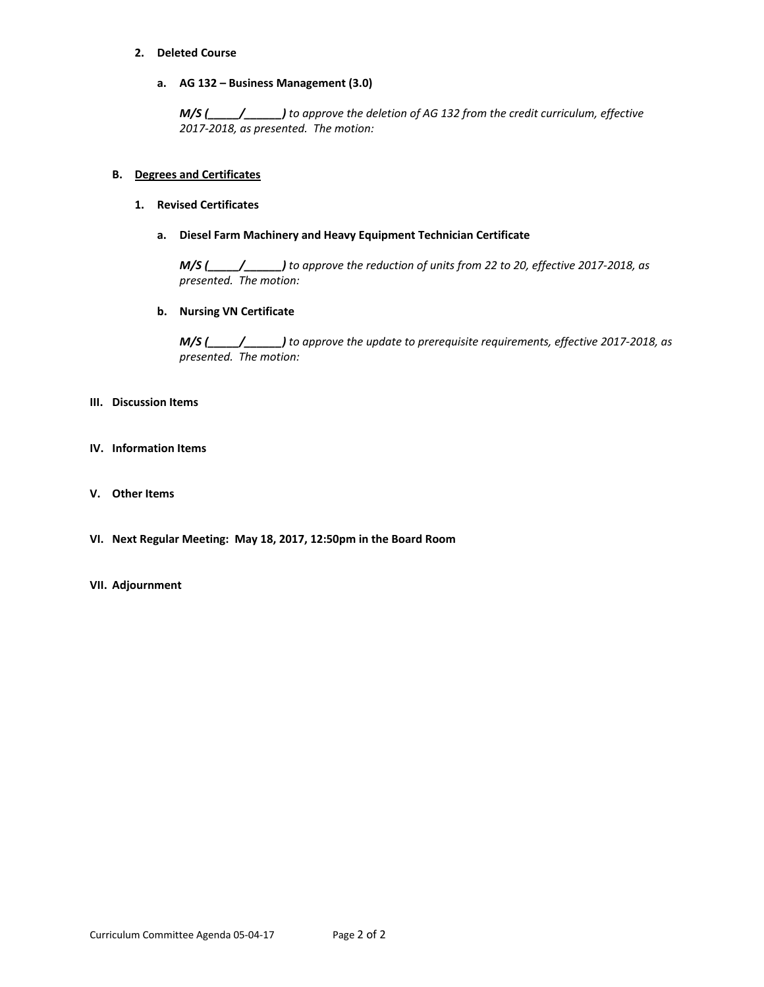#### **2. Deleted Course**

**a. AG 132 – Business Management (3.0)**

 *M/S (\_\_\_\_\_/\_\_\_\_\_\_) to approve the deletion of AG 132 from the credit curriculum, effective 2017‐2018, as presented. The motion:*

#### **B. Degrees and Certificates**

#### **1. Revised Certificates**

 **a. Diesel Farm Machinery and Heavy Equipment Technician Certificate**

M/S (\_\_\_\_/\_\_\_\_\_\_\_\_\_) to approve the reduction of units from 22 to 20, effective 2017-2018, as  *presented. The motion:*

#### **b. Nursing VN Certificate**

 *M/S (\_\_\_\_\_/\_\_\_\_\_\_) to approve the update to prerequisite requirements, effective 2017‐2018, as presented. The motion:*

#### **III. Discussion Items**

- **IV. Information Items**
- **V. Other Items**
- **VI. Next Regular Meeting: May 18, 2017, 12:50pm in the Board Room**

#### **VII. Adjournment**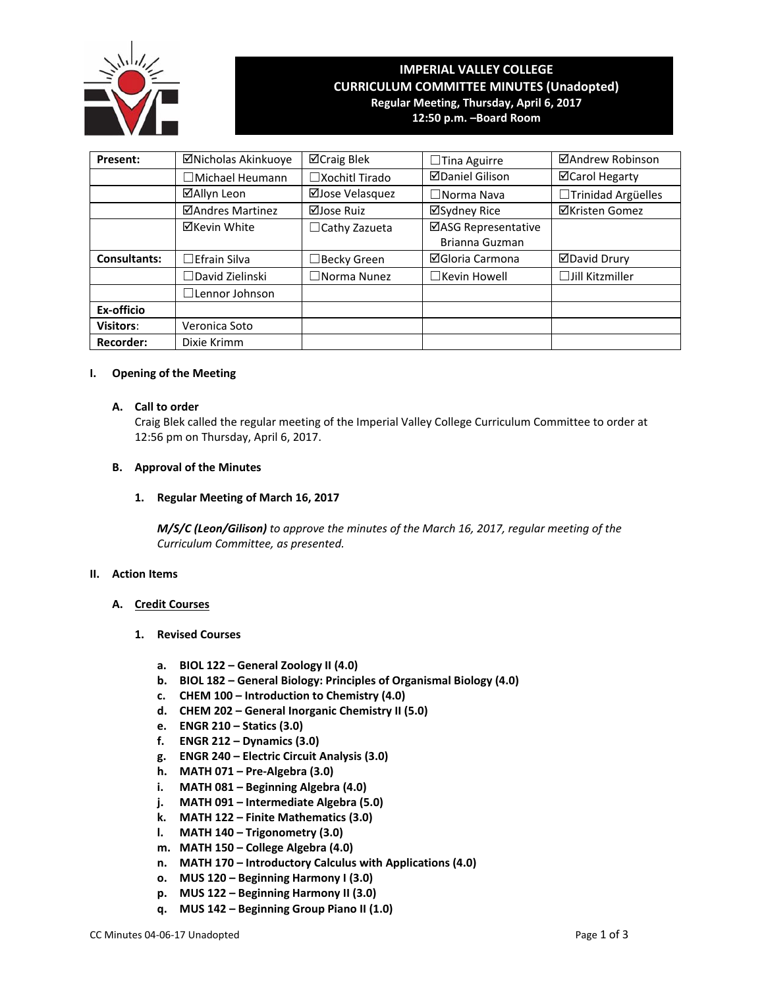

# **IMPERIAL VALLEY COLLEGE CURRICULUM COMMITTEE MINUTES (Unadopted) Regular Meeting, Thursday, April 6, 2017**

**12:50 p.m. –Board Room**

| Present:            | ⊠Nicholas Akinkuoye     | ⊠Craig Blek           | $\Box$ Tina Aguirre                   | ⊠Andrew Robinson       |  |  |
|---------------------|-------------------------|-----------------------|---------------------------------------|------------------------|--|--|
|                     | $\Box$ Michael Heumann  | $\Box$ Xochitl Tirado | <b>ØDaniel Gilison</b>                | ⊠Carol Hegarty         |  |  |
|                     | ⊠Allyn Leon             | ⊠Jose Velasquez       | $\square$ Norma Nava                  | □Trinidad Argüelles    |  |  |
|                     | <b>ØAndres Martinez</b> | ⊠Jose Ruiz            | ⊠Sydney Rice                          | <b>⊠Kristen Gomez</b>  |  |  |
|                     | <b>⊠Kevin White</b>     | $\Box$ Cathy Zazueta  | ⊠ASG Representative<br>Brianna Guzman |                        |  |  |
| <b>Consultants:</b> | $\Box$ Efrain Silva     | $\Box$ Becky Green    | ⊠Gloria Carmona                       | <b>ØDavid Drury</b>    |  |  |
|                     | $\Box$ David Zielinski  | $\square$ Norma Nunez | $\Box$ Kevin Howell                   | $\Box$ Jill Kitzmiller |  |  |
|                     | $\Box$ Lennor Johnson   |                       |                                       |                        |  |  |
| Ex-officio          |                         |                       |                                       |                        |  |  |
| Visitors:           | Veronica Soto           |                       |                                       |                        |  |  |
| <b>Recorder:</b>    | Dixie Krimm             |                       |                                       |                        |  |  |

#### **I. Opening of the Meeting**

#### **A. Call to order**

Craig Blek called the regular meeting of the Imperial Valley College Curriculum Committee to order at 12:56 pm on Thursday, April 6, 2017.

#### **B. Approval of the Minutes**

#### **1. Regular Meeting of March 16, 2017**

*M/S/C (Leon/Gilison) to approve the minutes of the March 16, 2017, regular meeting of the Curriculum Committee, as presented.* 

#### **II. Action Items**

#### **A. Credit Courses**

- **1. Revised Courses**
	- **a. BIOL 122 – General Zoology II (4.0)**
	- **b. BIOL 182 – General Biology: Principles of Organismal Biology (4.0)**
	- **c. CHEM 100 – Introduction to Chemistry (4.0)**
	- **d. CHEM 202 – General Inorganic Chemistry II (5.0)**
	- **e. ENGR 210 – Statics (3.0)**
	- **f. ENGR 212 – Dynamics (3.0)**
	- **g. ENGR 240 – Electric Circuit Analysis (3.0)**
	- **h. MATH 071 – Pre‐Algebra (3.0)**
	- **i. MATH 081 – Beginning Algebra (4.0)**
	- **j. MATH 091 – Intermediate Algebra (5.0)**
	- **k. MATH 122 – Finite Mathematics (3.0)**
	- **l. MATH 140 – Trigonometry (3.0)**
	- **m. MATH 150 – College Algebra (4.0)**
	- **n. MATH 170 – Introductory Calculus with Applications (4.0)**
	- **o. MUS 120 – Beginning Harmony I (3.0)**
	- **p. MUS 122 – Beginning Harmony II (3.0)**
	- **q. MUS 142 – Beginning Group Piano II (1.0)**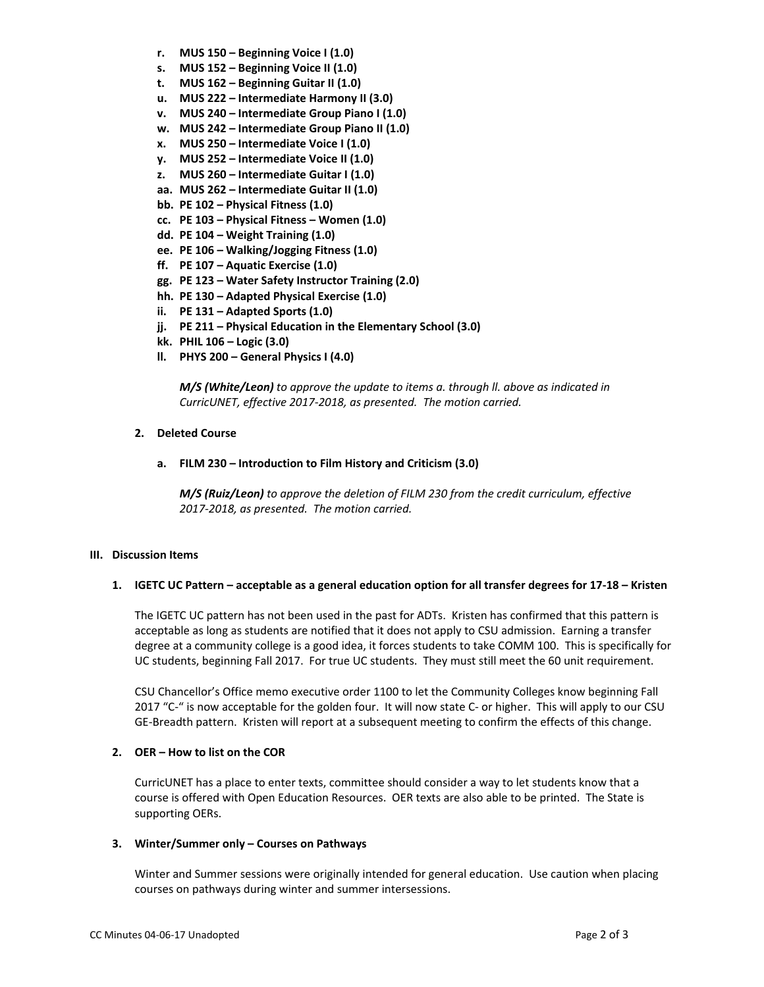- **r. MUS 150 – Beginning Voice I (1.0)**
- **s. MUS 152 – Beginning Voice II (1.0)**
- **t. MUS 162 – Beginning Guitar II (1.0)**
- **u. MUS 222 – Intermediate Harmony II (3.0)**
- **v. MUS 240 – Intermediate Group Piano I (1.0)**
- **w. MUS 242 – Intermediate Group Piano II (1.0)**
- **x. MUS 250 – Intermediate Voice I (1.0)**
- **y. MUS 252 – Intermediate Voice II (1.0)**
- **z. MUS 260 – Intermediate Guitar I (1.0)**
- **aa. MUS 262 – Intermediate Guitar II (1.0)**
- **bb. PE 102 – Physical Fitness (1.0)**
- **cc. PE 103 – Physical Fitness – Women (1.0)**
- **dd. PE 104 – Weight Training (1.0)**
- **ee. PE 106 – Walking/Jogging Fitness (1.0)**
- **ff. PE 107 – Aquatic Exercise (1.0)**
- **gg. PE 123 – Water Safety Instructor Training (2.0)**
- **hh. PE 130 – Adapted Physical Exercise (1.0)**
- **ii. PE 131 – Adapted Sports (1.0)**
- **jj. PE 211 – Physical Education in the Elementary School (3.0)**
- **kk. PHIL 106 – Logic (3.0)**
- **ll. PHYS 200 – General Physics I (4.0)**

 *M/S (White/Leon) to approve the update to items a. through ll. above as indicated in CurricUNET, effective 2017‐2018, as presented. The motion carried.*

## **2. Deleted Course**

**a. FILM 230 – Introduction to Film History and Criticism (3.0)**

 *M/S (Ruiz/Leon) to approve the deletion of FILM 230 from the credit curriculum, effective 2017‐2018, as presented. The motion carried.*

## **III. Discussion Items**

## 1. IGETC UC Pattern - acceptable as a general education option for all transfer degrees for 17-18 - Kristen

The IGETC UC pattern has not been used in the past for ADTs. Kristen has confirmed that this pattern is acceptable as long as students are notified that it does not apply to CSU admission. Earning a transfer degree at a community college is a good idea, it forces students to take COMM 100. This is specifically for UC students, beginning Fall 2017. For true UC students. They must still meet the 60 unit requirement.

CSU Chancellor's Office memo executive order 1100 to let the Community Colleges know beginning Fall 2017 "C-" is now acceptable for the golden four. It will now state C- or higher. This will apply to our CSU GE-Breadth pattern. Kristen will report at a subsequent meeting to confirm the effects of this change.

## **2. OER – How to list on the COR**

CurricUNET has a place to enter texts, committee should consider a way to let students know that a course is offered with Open Education Resources. OER texts are also able to be printed. The State is supporting OERs.

## **3. Winter/Summer only – Courses on Pathways**

Winter and Summer sessions were originally intended for general education. Use caution when placing courses on pathways during winter and summer intersessions.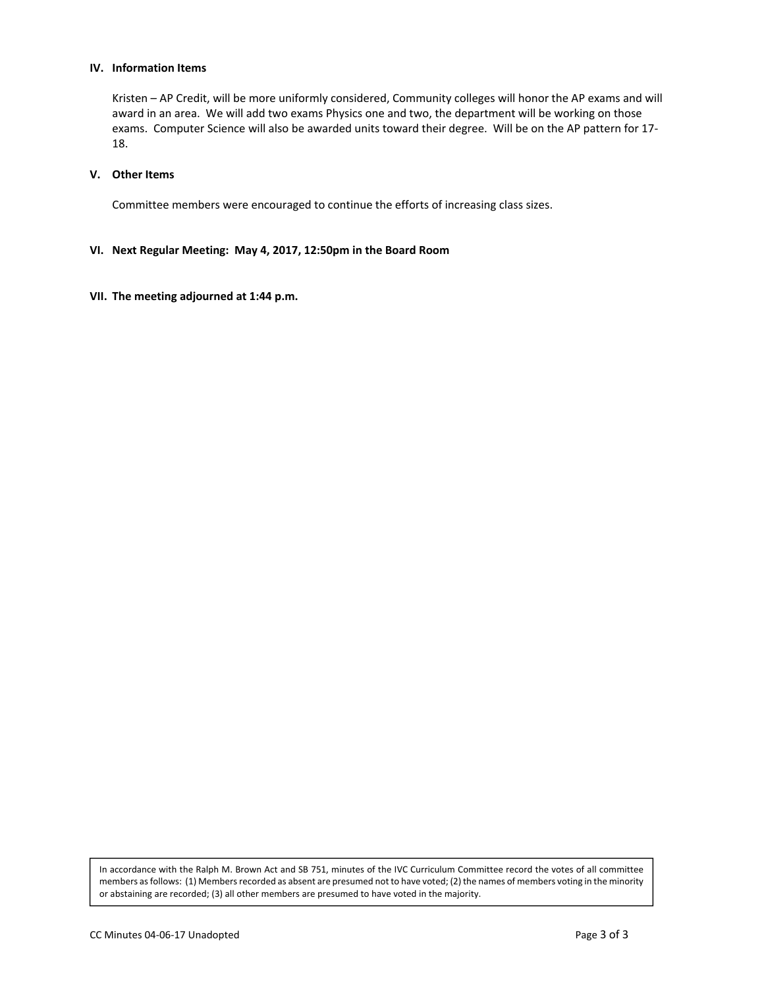#### **IV. Information Items**

Kristen – AP Credit, will be more uniformly considered, Community colleges will honor the AP exams and will award in an area. We will add two exams Physics one and two, the department will be working on those exams. Computer Science will also be awarded units toward their degree. Will be on the AP pattern for 17‐ 18.

#### **V. Other Items**

Committee members were encouraged to continue the efforts of increasing class sizes.

#### **VI. Next Regular Meeting: May 4, 2017, 12:50pm in the Board Room**

#### **VII. The meeting adjourned at 1:44 p.m.**

In accordance with the Ralph M. Brown Act and SB 751, minutes of the IVC Curriculum Committee record the votes of all committee members as follows: (1) Members recorded as absent are presumed not to have voted; (2) the names of members voting in the minority or abstaining are recorded; (3) all other members are presumed to have voted in the majority.